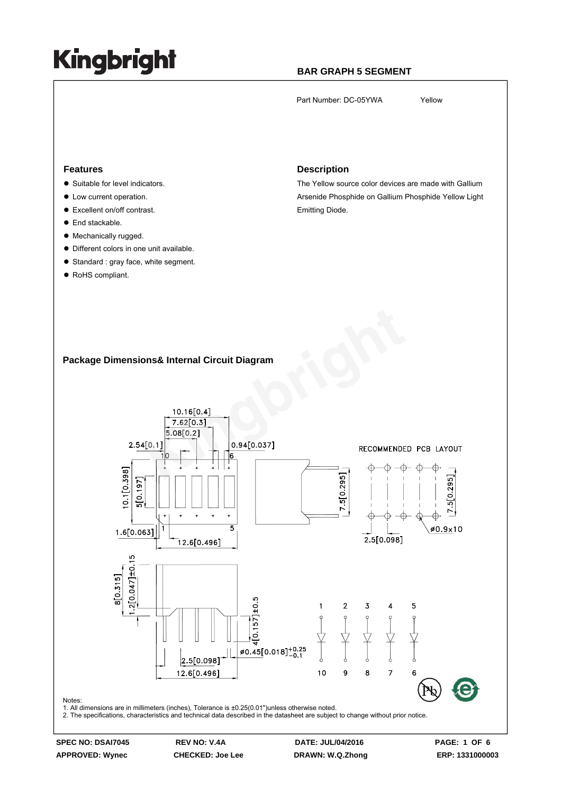### **BAR GRAPH 5 SEGMENT**

Part Number: DC-05YWA Yellow

### **Features**

- Suitable for level indicators.
- $\bullet$  Low current operation.
- Excellent on/off contrast.
- $\bullet$  End stackable.
- $\bullet$  Mechanically rugged.
- Different colors in one unit available.
- Standard : gray face, white segment.
- RoHS compliant.

#### **Description**

The Yellow source color devices are made with Gallium Arsenide Phosphide on Gallium Phosphide Yellow Light Emitting Diode.

### **Package Dimensions& Internal Circuit Diagram**



**APPROVED: Wynec CHECKED: Joe Lee DRAWN: W.Q.Zhong ERP: 1331000003**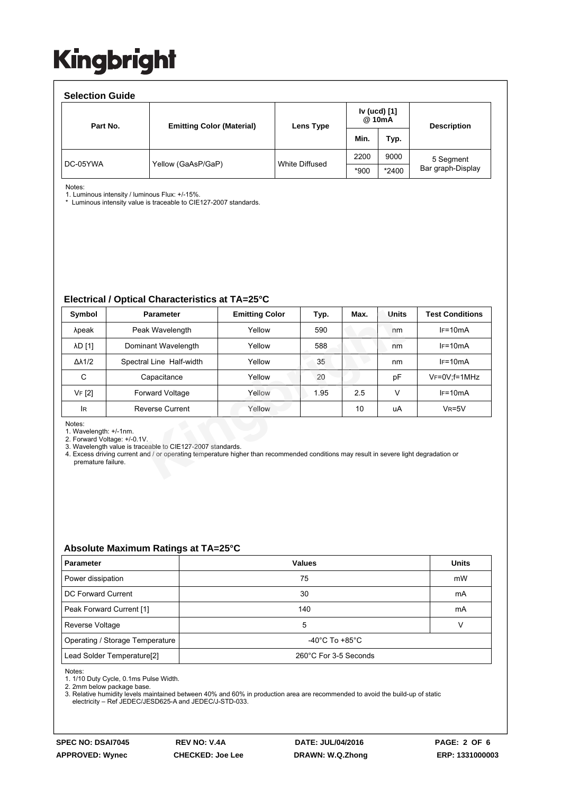| <b>Selection Guide</b> |                                  |                |                        |       |                    |  |  |  |  |  |
|------------------------|----------------------------------|----------------|------------------------|-------|--------------------|--|--|--|--|--|
| Part No.               | <b>Emitting Color (Material)</b> | Lens Type      | Iv (ucd) [1]<br>@ 10mA |       | <b>Description</b> |  |  |  |  |  |
|                        |                                  |                | Min.                   | Typ.  |                    |  |  |  |  |  |
| DC-05YWA               | Yellow (GaAsP/GaP)               | White Diffused | 2200                   | 9000  | 5 Segment          |  |  |  |  |  |
|                        |                                  |                | *900                   | *2400 | Bar graph-Display  |  |  |  |  |  |

Notes:

1. Luminous intensity / luminous Flux: +/-15%.

\* Luminous intensity value is traceable to CIE127-2007 standards.

#### **Electrical / Optical Characteristics at TA=25°C**

| Symbol                                                                                                                                                                                                                                                                                        | <b>Parameter</b>         | <b>Emitting Color</b> | Typ. | Max. | Units | <b>Test Conditions</b> |  |  |  |
|-----------------------------------------------------------------------------------------------------------------------------------------------------------------------------------------------------------------------------------------------------------------------------------------------|--------------------------|-----------------------|------|------|-------|------------------------|--|--|--|
| λpeak                                                                                                                                                                                                                                                                                         | Peak Wavelength          | Yellow                | 590  |      | nm    | $IF=10mA$              |  |  |  |
| <b>AD</b> [1]                                                                                                                                                                                                                                                                                 | Dominant Wavelength      | Yellow                | 588  |      | nm    | $IF=10mA$              |  |  |  |
| $\Delta\lambda$ 1/2                                                                                                                                                                                                                                                                           | Spectral Line Half-width | Yellow                | 35   |      | nm    | $IF=10mA$              |  |  |  |
| C                                                                                                                                                                                                                                                                                             | Capacitance              | Yellow                | 20   |      | pF    | $V_F = 0V$ ; f = 1MHz  |  |  |  |
| <b>VF</b> [2]                                                                                                                                                                                                                                                                                 | <b>Forward Voltage</b>   | Yellow                | 1.95 | 2.5  | v     | $IF=10mA$              |  |  |  |
| lR.                                                                                                                                                                                                                                                                                           | <b>Reverse Current</b>   | Yellow                |      | 10   | uA    | $VR=5V$                |  |  |  |
| Notes:<br>1. Wavelength: +/-1nm.<br>2. Forward Voltage: +/-0.1V.<br>3. Wavelength value is traceable to CIE127-2007 standards.<br>4. Excess driving current and / or operating temperature higher than recommended conditions may result in severe light degradation or<br>premature failure. |                          |                       |      |      |       |                        |  |  |  |

### **Absolute Maximum Ratings at TA=25°C**

| <b>Parameter</b>                       | <b>Values</b>                      | <b>Units</b> |  |
|----------------------------------------|------------------------------------|--------------|--|
| Power dissipation                      | 75                                 | mW           |  |
| DC Forward Current                     | 30                                 | mA           |  |
| Peak Forward Current [1]               | 140                                | mA           |  |
| Reverse Voltage                        | 5                                  |              |  |
| Operating / Storage Temperature        | $-40^{\circ}$ C To $+85^{\circ}$ C |              |  |
| Lead Solder Temperature <sup>[2]</sup> | 260°C For 3-5 Seconds              |              |  |

Notes:

1. 1/10 Duty Cycle, 0.1ms Pulse Width.

2. 2mm below package base.

3. Relative humidity levels maintained between 40% and 60% in production area are recommended to avoid the build-up of static electricity – Ref JEDEC/JESD625-A and JEDEC/J-STD-033.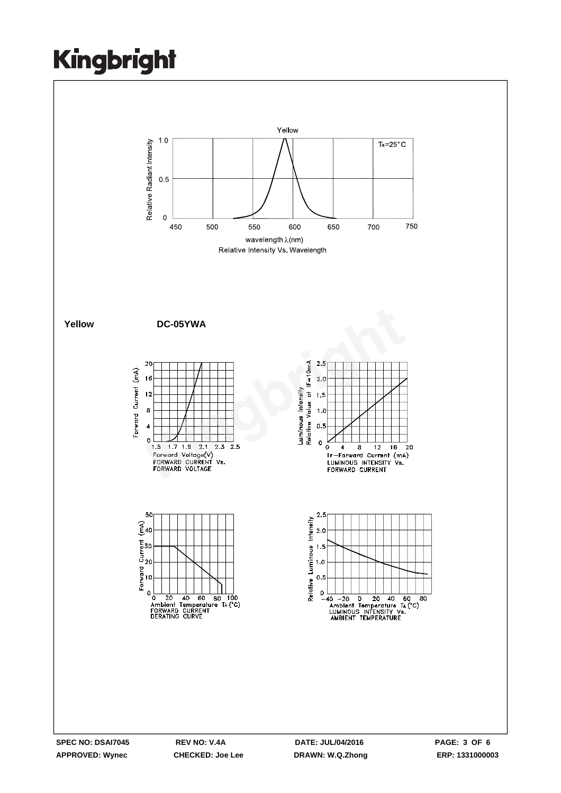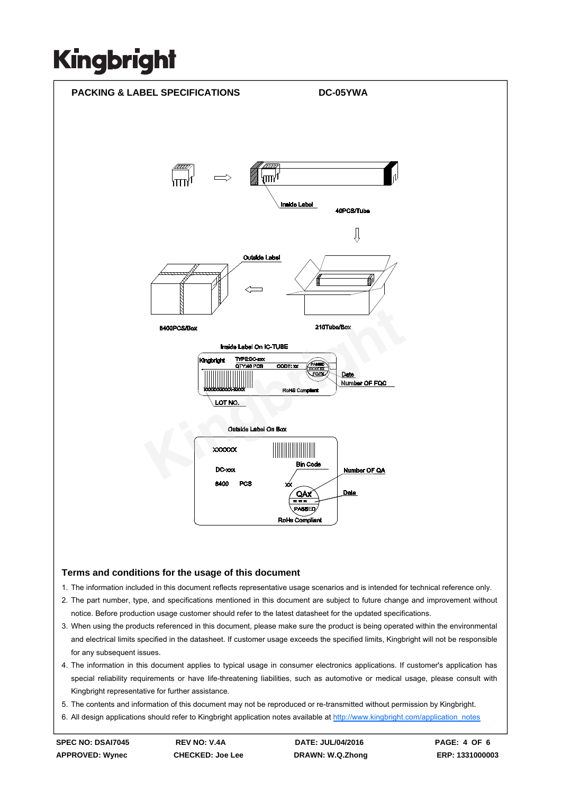

### **Terms and conditions for the usage of this document**

- 1. The information included in this document reflects representative usage scenarios and is intended for technical reference only.
- 2. The part number, type, and specifications mentioned in this document are subject to future change and improvement without notice. Before production usage customer should refer to the latest datasheet for the updated specifications.
- 3. When using the products referenced in this document, please make sure the product is being operated within the environmental and electrical limits specified in the datasheet. If customer usage exceeds the specified limits, Kingbright will not be responsible for any subsequent issues.
- 4. The information in this document applies to typical usage in consumer electronics applications. If customer's application has special reliability requirements or have life-threatening liabilities, such as automotive or medical usage, please consult with Kingbright representative for further assistance.
- 5. The contents and information of this document may not be reproduced or re-transmitted without permission by Kingbright.
- 6. All design applications should refer to Kingbright application notes available at http://www.kingbright.com/application\_notes

**SPEC NO: DSAI7045 REV NO: V.4A DATE: JUL/04/2016 PAGE: 4 OF 6 APPROVED: Wynec CHECKED: Joe Lee DRAWN: W.Q.Zhong ERP: 1331000003**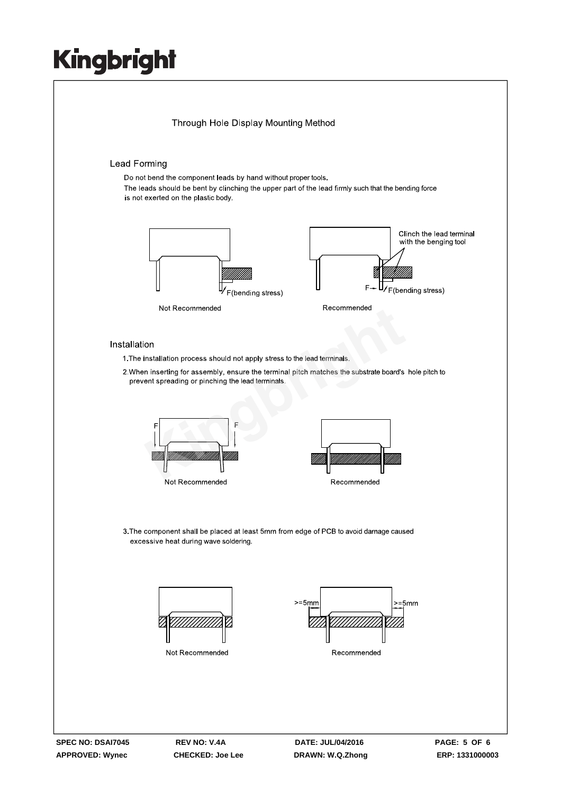